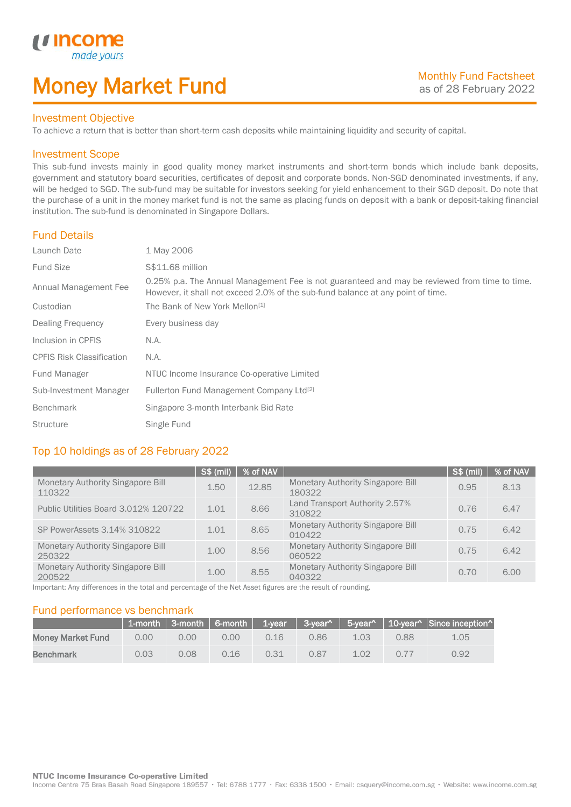## Money Market Fund

### Investment Objective

made yo

*u* incom

I

To achieve a return that is better than short-term cash deposits while maintaining liquidity and security of capital.

### Investment Scope

This sub-fund invests mainly in good quality money market instruments and short-term bonds which include bank deposits, government and statutory board securities, certificates of deposit and corporate bonds. Non-SGD denominated investments, if any, will be hedged to SGD. The sub-fund may be suitable for investors seeking for yield enhancement to their SGD deposit. Do note that the purchase of a unit in the money market fund is not the same as placing funds on deposit with a bank or deposit-taking financial institution. The sub-fund is denominated in Singapore Dollars.

### Fund Details

| Launch Date                      | 1 May 2006                                                                                                                                                                       |
|----------------------------------|----------------------------------------------------------------------------------------------------------------------------------------------------------------------------------|
| <b>Fund Size</b>                 | S\$11.68 million                                                                                                                                                                 |
| Annual Management Fee            | 0.25% p.a. The Annual Management Fee is not guaranteed and may be reviewed from time to time.<br>However, it shall not exceed 2.0% of the sub-fund balance at any point of time. |
| Custodian                        | The Bank of New York Mellon <sup>[1]</sup>                                                                                                                                       |
| Dealing Frequency                | Every business day                                                                                                                                                               |
| Inclusion in CPFIS               | N.A.                                                                                                                                                                             |
| <b>CPFIS Risk Classification</b> | N.A.                                                                                                                                                                             |
| Fund Manager                     | NTUC Income Insurance Co-operative Limited                                                                                                                                       |
| Sub-Investment Manager           | Fullerton Fund Management Company Ltd <sup>[2]</sup>                                                                                                                             |
| <b>Benchmark</b>                 | Singapore 3-month Interbank Bid Rate                                                                                                                                             |
| <b>Structure</b>                 | Single Fund                                                                                                                                                                      |

### Top 10 holdings as of 28 February 2022

|                                                    | S\$ (mil) | % of NAV |                                                    | <b>S\$ (mil)</b> | % of NAV |
|----------------------------------------------------|-----------|----------|----------------------------------------------------|------------------|----------|
| Monetary Authority Singapore Bill<br>110322        | 1.50      | 12.85    | <b>Monetary Authority Singapore Bill</b><br>180322 | 0.95             | 8.13     |
| Public Utilities Board 3.012% 120722               | 1.01      | 8.66     | Land Transport Authority 2.57%<br>310822           | 0.76             | 6.47     |
| SP PowerAssets 3.14% 310822                        | 1.01      | 8.65     | <b>Monetary Authority Singapore Bill</b><br>010422 | 0.75             | 6.42     |
| <b>Monetary Authority Singapore Bill</b><br>250322 | 1.00      | 8.56     | <b>Monetary Authority Singapore Bill</b><br>060522 | 0.75             | 6.42     |
| <b>Monetary Authority Singapore Bill</b><br>200522 | 1.00      | 8.55     | <b>Monetary Authority Singapore Bill</b><br>040322 | 0.70             | 6.00     |

Important: Any differences in the total and percentage of the Net Asset figures are the result of rounding.

### Fund performance vs benchmark

|                          |      |                |      |      |      |      |      | 1-month   3-month   6-month   1-year   3-year^   5-year^   10-year^   Since inception^ |
|--------------------------|------|----------------|------|------|------|------|------|----------------------------------------------------------------------------------------|
| <b>Money Market Fund</b> | 0.00 | 0.00           | 0.00 | 0.16 | 0.86 | 1.03 | 0.88 | 1.05                                                                                   |
| <b>Benchmark</b>         | 0.03 | $0.08^{\circ}$ | 0.16 | 0.31 | 0.87 | 1.02 | 0.77 | 0.92                                                                                   |